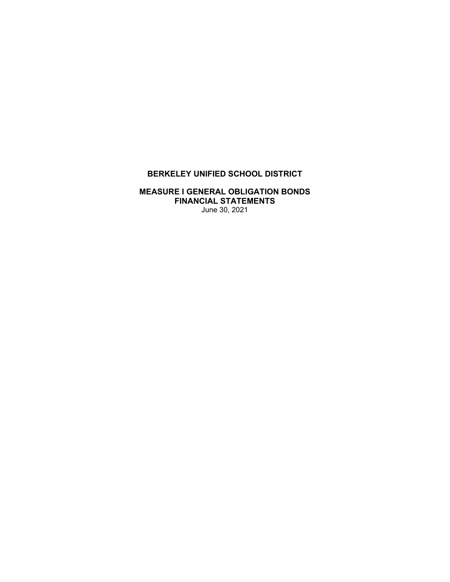# **BERKELEY UNIFIED SCHOOL DISTRICT**

## **MEASURE I GENERAL OBLIGATION BONDS FINANCIAL STATEMENTS**  June 30, 2021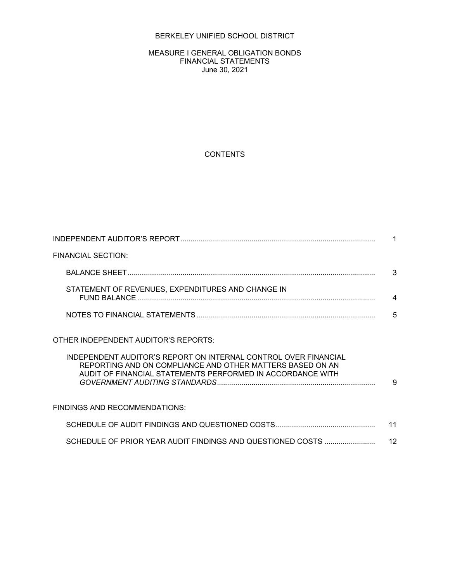## BERKELEY UNIFIED SCHOOL DISTRICT

#### MEASURE I GENERAL OBLIGATION BONDS FINANCIAL STATEMENTS June 30, 2021

## **CONTENTS**

| <b>FINANCIAL SECTION:</b>                                                                                               |    |
|-------------------------------------------------------------------------------------------------------------------------|----|
|                                                                                                                         | 3  |
| STATEMENT OF REVENUES, EXPENDITURES AND CHANGE IN                                                                       | 4  |
|                                                                                                                         | 5  |
| OTHER INDEPENDENT AUDITOR'S REPORTS:<br>INDEPENDENT AUDITOR'S REPORT ON INTERNAL CONTROL OVER FINANCIAL                 |    |
| REPORTING AND ON COMPLIANCE AND OTHER MATTERS BASED ON AN<br>AUDIT OF FINANCIAL STATEMENTS PERFORMED IN ACCORDANCE WITH | 9  |
| <b>FINDINGS AND RECOMMENDATIONS:</b>                                                                                    |    |
|                                                                                                                         | 11 |
| SCHEDULE OF PRIOR YEAR AUDIT FINDINGS AND QUESTIONED COSTS                                                              | 12 |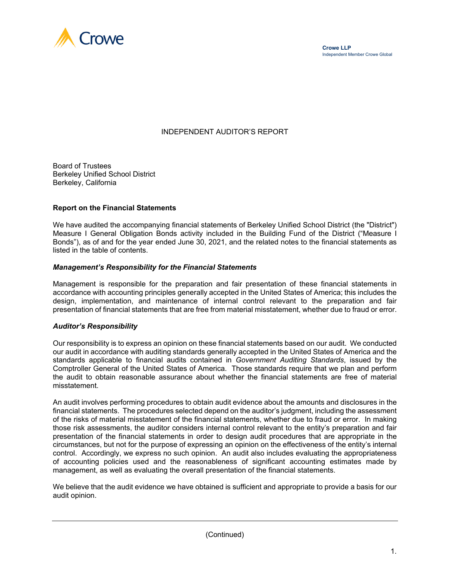

## INDEPENDENT AUDITOR'S REPORT

Board of Trustees Berkeley Unified School District Berkeley, California

### **Report on the Financial Statements**

We have audited the accompanying financial statements of Berkeley Unified School District (the "District") Measure I General Obligation Bonds activity included in the Building Fund of the District ("Measure I Bonds"), as of and for the year ended June 30, 2021, and the related notes to the financial statements as listed in the table of contents.

#### *Management's Responsibility for the Financial Statements*

Management is responsible for the preparation and fair presentation of these financial statements in accordance with accounting principles generally accepted in the United States of America; this includes the design, implementation, and maintenance of internal control relevant to the preparation and fair presentation of financial statements that are free from material misstatement, whether due to fraud or error.

#### *Auditor's Responsibility*

Our responsibility is to express an opinion on these financial statements based on our audit. We conducted our audit in accordance with auditing standards generally accepted in the United States of America and the standards applicable to financial audits contained in *Government Auditing Standards*, issued by the Comptroller General of the United States of America. Those standards require that we plan and perform the audit to obtain reasonable assurance about whether the financial statements are free of material misstatement.

An audit involves performing procedures to obtain audit evidence about the amounts and disclosures in the financial statements. The procedures selected depend on the auditor's judgment, including the assessment of the risks of material misstatement of the financial statements, whether due to fraud or error. In making those risk assessments, the auditor considers internal control relevant to the entity's preparation and fair presentation of the financial statements in order to design audit procedures that are appropriate in the circumstances, but not for the purpose of expressing an opinion on the effectiveness of the entity's internal control. Accordingly, we express no such opinion. An audit also includes evaluating the appropriateness of accounting policies used and the reasonableness of significant accounting estimates made by management, as well as evaluating the overall presentation of the financial statements.

We believe that the audit evidence we have obtained is sufficient and appropriate to provide a basis for our audit opinion.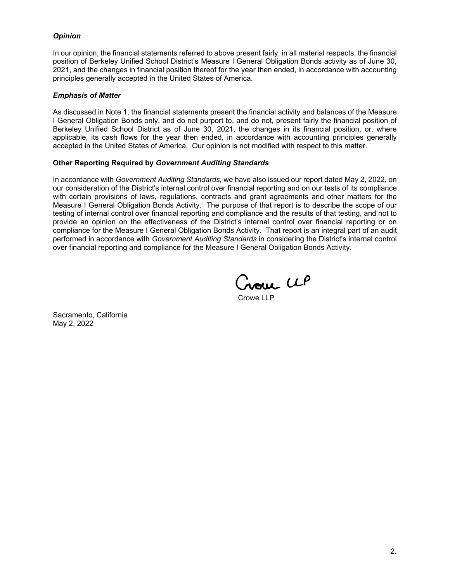### *Opinion*

In our opinion, the financial statements referred to above present fairly, in all material respects, the financial position of Berkeley Unified School District's Measure I General Obligation Bonds activity as of June 30, 2021, and the changes in financial position thereof for the year then ended, in accordance with accounting principles generally accepted in the United States of America.

### *Emphasis of Matter*

As discussed in Note 1, the financial statements present the financial activity and balances of the Measure I General Obligation Bonds only, and do not purport to, and do not, present fairly the financial position of Berkeley Unified School District as of June 30, 2021, the changes in its financial position, or, where applicable, its cash flows for the year then ended, in accordance with accounting principles generally accepted in the United States of America. Our opinion is not modified with respect to this matter.

### **Other Reporting Required by** *Government Auditing Standards*

In accordance with *Government Auditing Standards*, we have also issued our report dated May 2, 2022, on our consideration of the District's internal control over financial reporting and on our tests of its compliance with certain provisions of laws, regulations, contracts and grant agreements and other matters for the Measure I General Obligation Bonds Activity. The purpose of that report is to describe the scope of our testing of internal control over financial reporting and compliance and the results of that testing, and not to provide an opinion on the effectiveness of the District's internal control over financial reporting or on compliance for the Measure I General Obligation Bonds Activity. That report is an integral part of an audit performed in accordance with *Government Auditing Standards* in considering the District's internal control over financial reporting and compliance for the Measure I General Obligation Bonds Activity.

Crown LLP

Crowe LLP

Sacramento, California May 2, 2022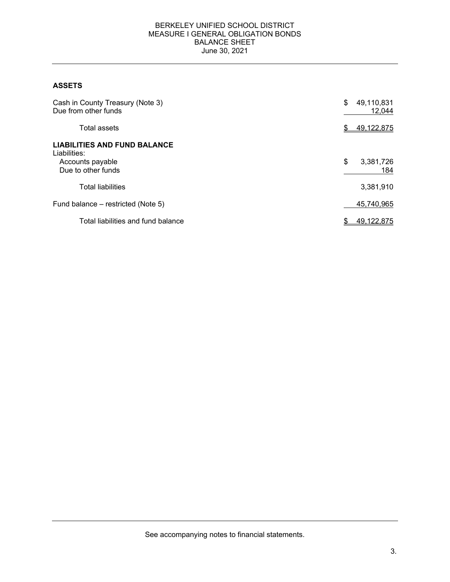### BERKELEY UNIFIED SCHOOL DISTRICT MEASURE I GENERAL OBLIGATION BONDS BALANCE SHEET June 30, 2021

## **ASSETS**

| Cash in County Treasury (Note 3)<br>Due from other funds                                      | \$<br>49,110,831<br>12,044 |
|-----------------------------------------------------------------------------------------------|----------------------------|
| Total assets                                                                                  | 49,122,875                 |
| <b>LIABILITIES AND FUND BALANCE</b><br>Liabilities:<br>Accounts payable<br>Due to other funds | \$<br>3,381,726<br>184     |
| <b>Total liabilities</b>                                                                      | 3,381,910                  |
| Fund balance – restricted (Note 5)                                                            | 45,740,965                 |
| Total liabilities and fund balance                                                            | 49,122,875                 |

See accompanying notes to financial statements.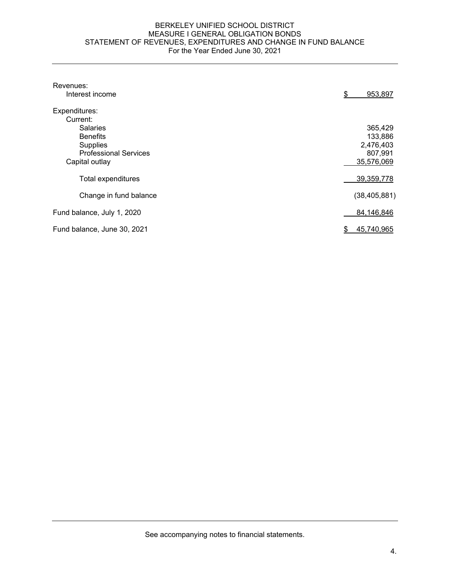#### BERKELEY UNIFIED SCHOOL DISTRICT MEASURE I GENERAL OBLIGATION BONDS STATEMENT OF REVENUES, EXPENDITURES AND CHANGE IN FUND BALANCE For the Year Ended June 30, 2021

| Revenues:                    |                |
|------------------------------|----------------|
| Interest income              | \$<br>953,897  |
| Expenditures:                |                |
| Current:                     |                |
| <b>Salaries</b>              | 365,429        |
| <b>Benefits</b>              | 133,886        |
| <b>Supplies</b>              | 2,476,403      |
| <b>Professional Services</b> | 807,991        |
| Capital outlay               | 35,576,069     |
| Total expenditures           | 39,359,778     |
| Change in fund balance       | (38, 405, 881) |
| Fund balance, July 1, 2020   | 84,146,846     |
| Fund balance, June 30, 2021  | 45,740,965     |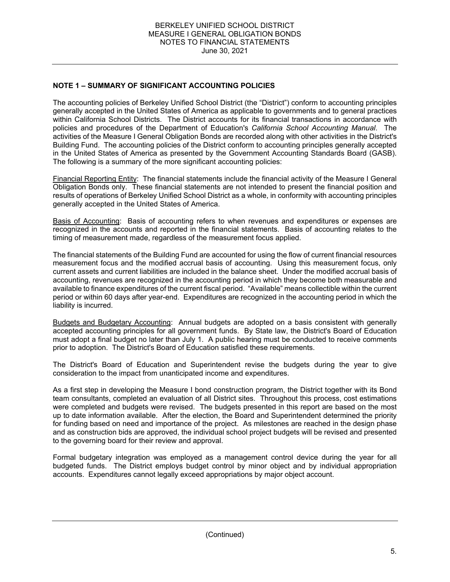## **NOTE 1 – SUMMARY OF SIGNIFICANT ACCOUNTING POLICIES**

The accounting policies of Berkeley Unified School District (the "District") conform to accounting principles generally accepted in the United States of America as applicable to governments and to general practices within California School Districts. The District accounts for its financial transactions in accordance with policies and procedures of the Department of Education's *California School Accounting Manual*. The activities of the Measure I General Obligation Bonds are recorded along with other activities in the District's Building Fund. The accounting policies of the District conform to accounting principles generally accepted in the United States of America as presented by the Government Accounting Standards Board (GASB). The following is a summary of the more significant accounting policies:

Financial Reporting Entity: The financial statements include the financial activity of the Measure I General Obligation Bonds only. These financial statements are not intended to present the financial position and results of operations of Berkeley Unified School District as a whole, in conformity with accounting principles generally accepted in the United States of America.

Basis of Accounting: Basis of accounting refers to when revenues and expenditures or expenses are recognized in the accounts and reported in the financial statements. Basis of accounting relates to the timing of measurement made, regardless of the measurement focus applied.

The financial statements of the Building Fund are accounted for using the flow of current financial resources measurement focus and the modified accrual basis of accounting. Using this measurement focus, only current assets and current liabilities are included in the balance sheet. Under the modified accrual basis of accounting, revenues are recognized in the accounting period in which they become both measurable and available to finance expenditures of the current fiscal period. "Available" means collectible within the current period or within 60 days after year-end. Expenditures are recognized in the accounting period in which the liability is incurred.

Budgets and Budgetary Accounting: Annual budgets are adopted on a basis consistent with generally accepted accounting principles for all government funds. By State law, the District's Board of Education must adopt a final budget no later than July 1. A public hearing must be conducted to receive comments prior to adoption. The District's Board of Education satisfied these requirements.

The District's Board of Education and Superintendent revise the budgets during the year to give consideration to the impact from unanticipated income and expenditures.

As a first step in developing the Measure I bond construction program, the District together with its Bond team consultants, completed an evaluation of all District sites. Throughout this process, cost estimations were completed and budgets were revised. The budgets presented in this report are based on the most up to date information available. After the election, the Board and Superintendent determined the priority for funding based on need and importance of the project. As milestones are reached in the design phase and as construction bids are approved, the individual school project budgets will be revised and presented to the governing board for their review and approval.

Formal budgetary integration was employed as a management control device during the year for all budgeted funds. The District employs budget control by minor object and by individual appropriation accounts. Expenditures cannot legally exceed appropriations by major object account.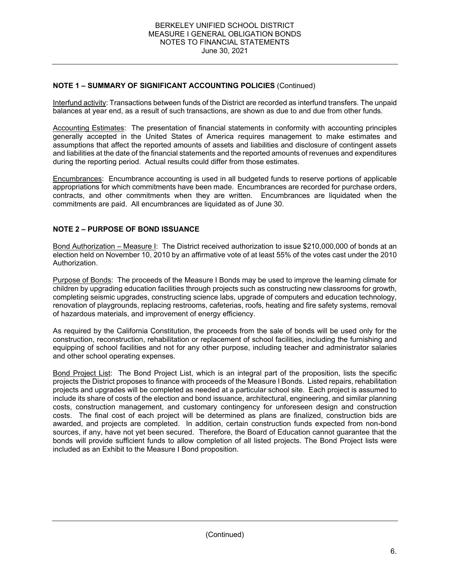## **NOTE 1 – SUMMARY OF SIGNIFICANT ACCOUNTING POLICIES** (Continued)

Interfund activity: Transactions between funds of the District are recorded as interfund transfers. The unpaid balances at year end, as a result of such transactions, are shown as due to and due from other funds.

Accounting Estimates: The presentation of financial statements in conformity with accounting principles generally accepted in the United States of America requires management to make estimates and assumptions that affect the reported amounts of assets and liabilities and disclosure of contingent assets and liabilities at the date of the financial statements and the reported amounts of revenues and expenditures during the reporting period. Actual results could differ from those estimates.

Encumbrances: Encumbrance accounting is used in all budgeted funds to reserve portions of applicable appropriations for which commitments have been made. Encumbrances are recorded for purchase orders, contracts, and other commitments when they are written. Encumbrances are liquidated when the commitments are paid. All encumbrances are liquidated as of June 30.

## **NOTE 2 – PURPOSE OF BOND ISSUANCE**

Bond Authorization – Measure I: The District received authorization to issue \$210,000,000 of bonds at an election held on November 10, 2010 by an affirmative vote of at least 55% of the votes cast under the 2010 Authorization.

Purpose of Bonds: The proceeds of the Measure I Bonds may be used to improve the learning climate for children by upgrading education facilities through projects such as constructing new classrooms for growth, completing seismic upgrades, constructing science labs, upgrade of computers and education technology, renovation of playgrounds, replacing restrooms, cafeterias, roofs, heating and fire safety systems, removal of hazardous materials, and improvement of energy efficiency.

As required by the California Constitution, the proceeds from the sale of bonds will be used only for the construction, reconstruction, rehabilitation or replacement of school facilities, including the furnishing and equipping of school facilities and not for any other purpose, including teacher and administrator salaries and other school operating expenses.

Bond Project List: The Bond Project List, which is an integral part of the proposition, lists the specific projects the District proposes to finance with proceeds of the Measure I Bonds. Listed repairs, rehabilitation projects and upgrades will be completed as needed at a particular school site. Each project is assumed to include its share of costs of the election and bond issuance, architectural, engineering, and similar planning costs, construction management, and customary contingency for unforeseen design and construction costs. The final cost of each project will be determined as plans are finalized, construction bids are awarded, and projects are completed. In addition, certain construction funds expected from non-bond sources, if any, have not yet been secured. Therefore, the Board of Education cannot guarantee that the bonds will provide sufficient funds to allow completion of all listed projects. The Bond Project lists were included as an Exhibit to the Measure I Bond proposition.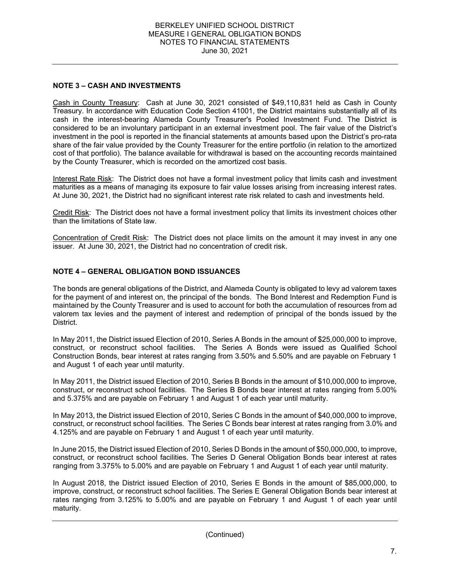## **NOTE 3 – CASH AND INVESTMENTS**

Cash in County Treasury: Cash at June 30, 2021 consisted of \$49,110,831 held as Cash in County Treasury. In accordance with Education Code Section 41001, the District maintains substantially all of its cash in the interest-bearing Alameda County Treasurer's Pooled Investment Fund. The District is considered to be an involuntary participant in an external investment pool. The fair value of the District's investment in the pool is reported in the financial statements at amounts based upon the District's pro-rata share of the fair value provided by the County Treasurer for the entire portfolio (in relation to the amortized cost of that portfolio). The balance available for withdrawal is based on the accounting records maintained by the County Treasurer, which is recorded on the amortized cost basis.

Interest Rate Risk: The District does not have a formal investment policy that limits cash and investment maturities as a means of managing its exposure to fair value losses arising from increasing interest rates. At June 30, 2021, the District had no significant interest rate risk related to cash and investments held.

Credit Risk: The District does not have a formal investment policy that limits its investment choices other than the limitations of State law.

Concentration of Credit Risk: The District does not place limits on the amount it may invest in any one issuer. At June 30, 2021, the District had no concentration of credit risk.

## **NOTE 4 – GENERAL OBLIGATION BOND ISSUANCES**

The bonds are general obligations of the District, and Alameda County is obligated to levy ad valorem taxes for the payment of and interest on, the principal of the bonds. The Bond Interest and Redemption Fund is maintained by the County Treasurer and is used to account for both the accumulation of resources from ad valorem tax levies and the payment of interest and redemption of principal of the bonds issued by the District.

In May 2011, the District issued Election of 2010, Series A Bonds in the amount of \$25,000,000 to improve, construct, or reconstruct school facilities. The Series A Bonds were issued as Qualified School Construction Bonds, bear interest at rates ranging from 3.50% and 5.50% and are payable on February 1 and August 1 of each year until maturity.

In May 2011, the District issued Election of 2010, Series B Bonds in the amount of \$10,000,000 to improve, construct, or reconstruct school facilities. The Series B Bonds bear interest at rates ranging from 5.00% and 5.375% and are payable on February 1 and August 1 of each year until maturity.

In May 2013, the District issued Election of 2010, Series C Bonds in the amount of \$40,000,000 to improve, construct, or reconstruct school facilities. The Series C Bonds bear interest at rates ranging from 3.0% and 4.125% and are payable on February 1 and August 1 of each year until maturity.

In June 2015, the District issued Election of 2010, Series D Bonds in the amount of \$50,000,000, to improve, construct, or reconstruct school facilities. The Series D General Obligation Bonds bear interest at rates ranging from 3.375% to 5.00% and are payable on February 1 and August 1 of each year until maturity.

In August 2018, the District issued Election of 2010, Series E Bonds in the amount of \$85,000,000, to improve, construct, or reconstruct school facilities. The Series E General Obligation Bonds bear interest at rates ranging from 3.125% to 5.00% and are payable on February 1 and August 1 of each year until maturity.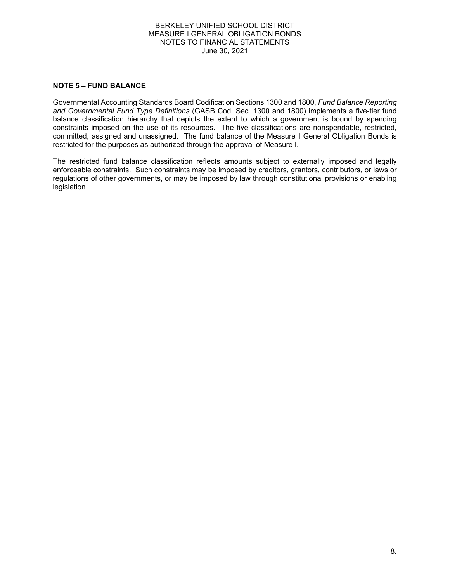#### BERKELEY UNIFIED SCHOOL DISTRICT MEASURE I GENERAL OBLIGATION BONDS NOTES TO FINANCIAL STATEMENTS June 30, 2021

## **NOTE 5 – FUND BALANCE**

Governmental Accounting Standards Board Codification Sections 1300 and 1800, *Fund Balance Reporting and Governmental Fund Type Definitions* (GASB Cod. Sec. 1300 and 1800) implements a five-tier fund balance classification hierarchy that depicts the extent to which a government is bound by spending constraints imposed on the use of its resources. The five classifications are nonspendable, restricted, committed, assigned and unassigned. The fund balance of the Measure I General Obligation Bonds is restricted for the purposes as authorized through the approval of Measure I.

The restricted fund balance classification reflects amounts subject to externally imposed and legally enforceable constraints. Such constraints may be imposed by creditors, grantors, contributors, or laws or regulations of other governments, or may be imposed by law through constitutional provisions or enabling legislation.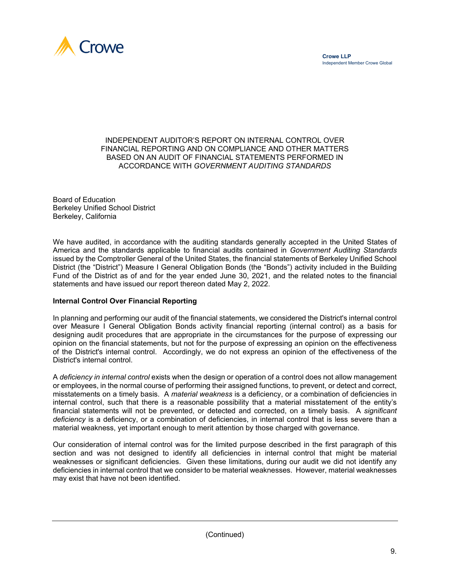

### INDEPENDENT AUDITOR'S REPORT ON INTERNAL CONTROL OVER FINANCIAL REPORTING AND ON COMPLIANCE AND OTHER MATTERS BASED ON AN AUDIT OF FINANCIAL STATEMENTS PERFORMED IN ACCORDANCE WITH *GOVERNMENT AUDITING STANDARDS*

Board of Education Berkeley Unified School District Berkeley, California

We have audited, in accordance with the auditing standards generally accepted in the United States of America and the standards applicable to financial audits contained in *Government Auditing Standards* issued by the Comptroller General of the United States, the financial statements of Berkeley Unified School District (the "District") Measure I General Obligation Bonds (the "Bonds") activity included in the Building Fund of the District as of and for the year ended June 30, 2021, and the related notes to the financial statements and have issued our report thereon dated May 2, 2022.

## **Internal Control Over Financial Reporting**

In planning and performing our audit of the financial statements, we considered the District's internal control over Measure I General Obligation Bonds activity financial reporting (internal control) as a basis for designing audit procedures that are appropriate in the circumstances for the purpose of expressing our opinion on the financial statements, but not for the purpose of expressing an opinion on the effectiveness of the District's internal control. Accordingly, we do not express an opinion of the effectiveness of the District's internal control.

A *deficiency in internal control* exists when the design or operation of a control does not allow management or employees, in the normal course of performing their assigned functions, to prevent, or detect and correct, misstatements on a timely basis. A *material weakness* is a deficiency, or a combination of deficiencies in internal control, such that there is a reasonable possibility that a material misstatement of the entity's financial statements will not be prevented, or detected and corrected, on a timely basis. A *significant deficiency* is a deficiency, or a combination of deficiencies, in internal control that is less severe than a material weakness, yet important enough to merit attention by those charged with governance.

Our consideration of internal control was for the limited purpose described in the first paragraph of this section and was not designed to identify all deficiencies in internal control that might be material weaknesses or significant deficiencies. Given these limitations, during our audit we did not identify any deficiencies in internal control that we consider to be material weaknesses. However, material weaknesses may exist that have not been identified.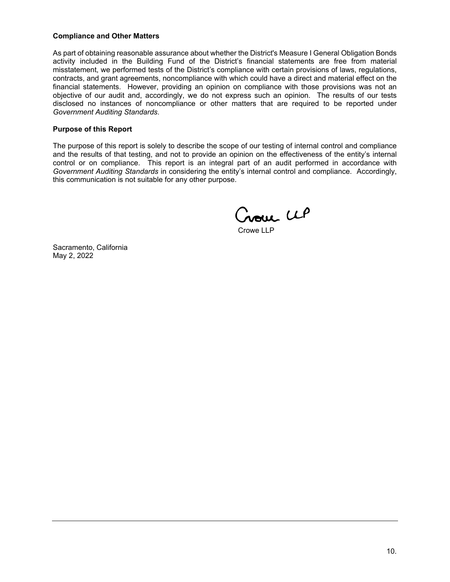### **Compliance and Other Matters**

As part of obtaining reasonable assurance about whether the District's Measure I General Obligation Bonds activity included in the Building Fund of the District's financial statements are free from material misstatement, we performed tests of the District's compliance with certain provisions of laws, regulations, contracts, and grant agreements, noncompliance with which could have a direct and material effect on the financial statements. However, providing an opinion on compliance with those provisions was not an objective of our audit and, accordingly, we do not express such an opinion. The results of our tests disclosed no instances of noncompliance or other matters that are required to be reported under *Government Auditing Standards*.

### **Purpose of this Report**

The purpose of this report is solely to describe the scope of our testing of internal control and compliance and the results of that testing, and not to provide an opinion on the effectiveness of the entity's internal control or on compliance. This report is an integral part of an audit performed in accordance with *Government Auditing Standards* in considering the entity's internal control and compliance. Accordingly, this communication is not suitable for any other purpose.

Crowe CLP

Crowe LLP

Sacramento, California May 2, 2022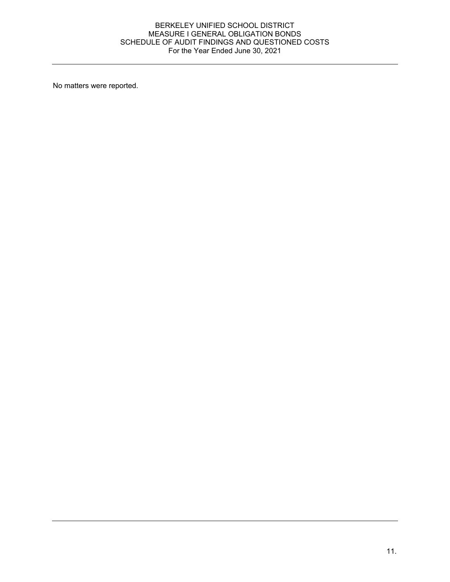### BERKELEY UNIFIED SCHOOL DISTRICT MEASURE I GENERAL OBLIGATION BONDS SCHEDULE OF AUDIT FINDINGS AND QUESTIONED COSTS For the Year Ended June 30, 2021

No matters were reported.